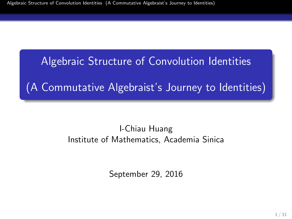# Algebraic Structure of Convolution Identities

(A Commutative Algebraist's Journey to Identities)

### I-Chiau Huang Institute of Mathematics, Academia Sinica

<span id="page-0-0"></span>September 29, 2016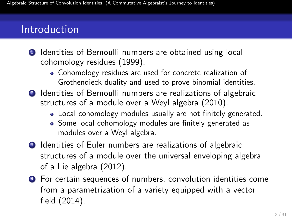# Introduction

- **1** Identities of Bernoulli numbers are obtained using local cohomology residues (1999).
	- Cohomology residues are used for concrete realization of Grothendieck duality and used to prove binomial identities.
- <sup>2</sup> Identities of Bernoulli numbers are realizations of algebraic structures of a module over a Weyl algebra (2010).
	- Local cohomology modules usually are not finitely generated.
	- Some local cohomology modules are finitely generated as modules over a Weyl algebra.
- **3** Identities of Euler numbers are realizations of algebraic structures of a module over the universal enveloping algebra of a Lie algebra (2012).
- <sup>4</sup> For certain sequences of numbers, convolution identities come from a parametrization of a variety equipped with a vector field (2014).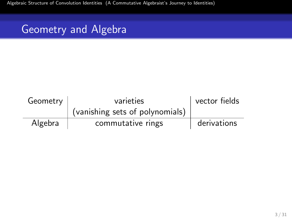[Algebraic Structure of Convolution Identities \(A Commutative Algebraist's Journey to Identities\)](#page-0-0)

# Geometry and Algebra

| Geometry | varieties                       | vector fields |
|----------|---------------------------------|---------------|
|          | (vanishing sets of polynomials) |               |
| Algebra  | commutative rings               | derivations   |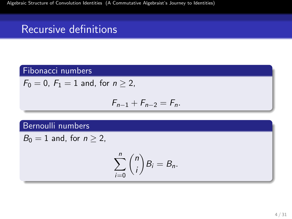# Recursive definitions

### Fibonacci numbers

$$
F_0 = 0, F_1 = 1 \text{ and, for } n \ge 2,
$$

$$
F_{n-1}+F_{n-2}=F_n.
$$

#### Bernoulli numbers

 $B_0 = 1$  and, for  $n > 2$ ,

$$
\sum_{i=0}^n \binom{n}{i} B_i = B_n.
$$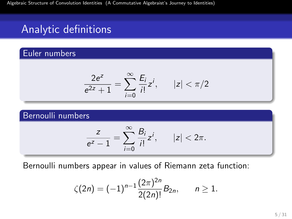# Analytic definitions

### Euler numbers

$$
\frac{2e^{z}}{e^{2z}+1}=\sum_{i=0}^{\infty}\frac{E_{i}}{i!}z^{i}, \qquad |z|<\pi/2
$$

#### Bernoulli numbers

$$
\frac{z}{e^z-1}=\sum_{i=0}^\infty\frac{B_i}{i!}z^i,\qquad |z|<2\pi.
$$

Bernoulli numbers appear in values of Riemann zeta function:

$$
\zeta(2n) = (-1)^{n-1} \frac{(2\pi)^{2n}}{2(2n)!} B_{2n}, \qquad n \geq 1.
$$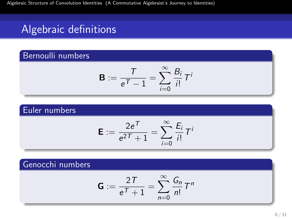# Algebraic definitions

### Bernoulli numbers

$$
\mathbf{B}:=\frac{T}{e^T-1}=\sum_{i=0}^\infty \frac{B_i}{i!}\,T^i
$$

### Euler numbers

$$
\mathbf{E} := \frac{2e^{\mathcal{T}}}{e^{2\mathcal{T}} + 1} = \sum_{i=0}^{\infty} \frac{E_i}{i!} T^i
$$

### Genocchi numbers

$$
\mathbf{G} := \frac{2T}{e^{\mathcal{T}} + 1} = \sum_{n=0}^{\infty} \frac{G_n}{n!} T^n
$$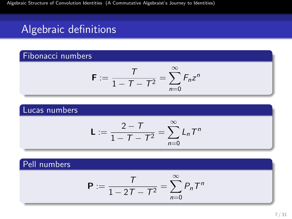# Algebraic definitions

### Fibonacci numbers

$$
\mathbf{F} := \frac{T}{1 - T - T^2} = \sum_{n=0}^{\infty} F_n z^n
$$

#### Lucas numbers

$$
L := \frac{2 - T}{1 - T - T^2} = \sum_{n=0}^{\infty} L_n T^n
$$

### Pell numbers

$$
\mathbf{P} := \frac{T}{1-2T-T^2} = \sum_{n=0}^{\infty} P_n T^n
$$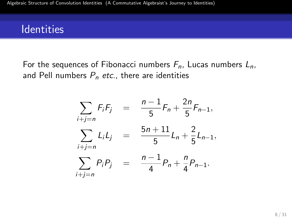For the sequences of Fibonacci numbers  $F_n$ , Lucas numbers  $L_n$ , and Pell numbers  $P_n$  etc., there are identities

$$
\sum_{i+j=n} F_i F_j = \frac{n-1}{5} F_n + \frac{2n}{5} F_{n-1},
$$
  

$$
\sum_{i+j=n} L_i L_j = \frac{5n+11}{5} L_n + \frac{2}{5} L_{n-1},
$$
  

$$
\sum_{i+j=n} P_i P_j = \frac{n-1}{4} P_n + \frac{n}{4} P_{n-1}.
$$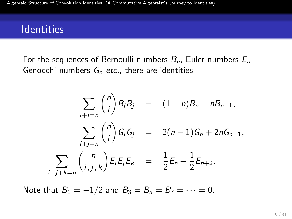For the sequences of Bernoulli numbers  $B_n$ , Euler numbers  $E_n$ , Genocchi numbers  $G_n$  etc., there are identities

$$
\sum_{i+j=n} {n \choose i} B_i B_j = (1-n)B_n - nB_{n-1},
$$
  

$$
\sum_{i+j=n} {n \choose i} G_i G_j = 2(n-1)G_n + 2nG_{n-1},
$$
  

$$
\sum_{i+j+k=n} {n \choose i,j,k} E_i E_j E_k = \frac{1}{2} E_n - \frac{1}{2} E_{n+2}.
$$

Note that  $B_1 = -1/2$  and  $B_3 = B_5 = B_7 = \cdots = 0$ .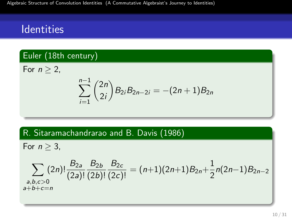### Euler (18th century)

For  $n > 2$ ,

$$
\sum_{i=1}^{n-1} {2n \choose 2i} B_{2i}B_{2n-2i} = -(2n+1)B_{2n}
$$

#### R. Sitaramachandrarao and B. Davis (1986)

For  $n > 3$ ,

$$
\sum_{\substack{a,b,c>0\\a+b+c=n}} (2n)! \frac{B_{2a}}{(2a)!} \frac{B_{2b}}{(2b)!} \frac{B_{2c}}{(2c)!} = (n+1)(2n+1)B_{2n} + \frac{1}{2}n(2n-1)B_{2n-2}
$$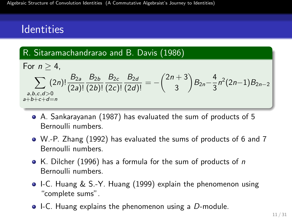### R. Sitaramachandrarao and B. Davis (1986)

For 
$$
n \ge 4
$$
,  
\n
$$
\sum_{\substack{a,b,c,d>0\\a+b+c+d=n}} (2n)! \frac{B_{2a}}{(2a)!} \frac{B_{2b}}{(2b)!} \frac{B_{2c}}{(2c)!} \frac{B_{2d}}{(2d)!} = -\binom{2n+3}{3} B_{2n} - \frac{4}{3} n^2 (2n-1) B_{2n-2}
$$

- A. Sankarayanan (1987) has evaluated the sum of products of 5 Bernoulli numbers.
- W.-P. Zhang (1992) has evaluated the sums of products of 6 and 7 Bernoulli numbers.
- K. Dilcher (1996) has a formula for the sum of products of  $n$ Bernoulli numbers.
- I-C. Huang & S.-Y. Huang (1999) explain the phenomenon using "complete sums".
- $\bullet$  I-C. Huang explains the phenomenon using a D-module.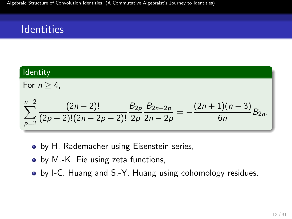Identity  
\nFor 
$$
n \ge 4
$$
,  
\n
$$
\sum_{p=2}^{n-2} \frac{(2n-2)!}{(2p-2)!(2n-2p-2)!} \frac{B_{2p}}{2p} \frac{B_{2n-2p}}{2n-2p} = -\frac{(2n+1)(n-3)}{6n} B_{2n}.
$$

- by H. Rademacher using Eisenstein series,
- by M.-K. Eie using zeta functions,
- by I-C. Huang and S.-Y. Huang using cohomology residues.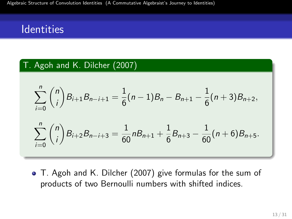### T. Agoh and K. Dilcher (2007)

$$
\sum_{i=0}^{n} {n \choose i} B_{i+1} B_{n-i+1} = \frac{1}{6} (n-1) B_n - B_{n+1} - \frac{1}{6} (n+3) B_{n+2},
$$
  

$$
\sum_{i=0}^{n} {n \choose i} B_{i+2} B_{n-i+3} = \frac{1}{60} n B_{n+1} + \frac{1}{6} B_{n+3} - \frac{1}{60} (n+6) B_{n+5}.
$$

T. Agoh and K. Dilcher (2007) give formulas for the sum of products of two Bernoulli numbers with shifted indices.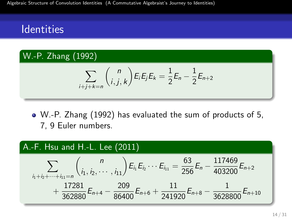### W.-P. Zhang (1992)

$$
\sum_{i+j+k=n} {n \choose i,j,k} E_i E_j E_k = \frac{1}{2} E_n - \frac{1}{2} E_{n+2}
$$

W.-P. Zhang (1992) has evaluated the sum of products of 5, 7, 9 Euler numbers.

### A.-F. Hsu and H.-L. Lee (2011)

$$
\sum_{i_1+i_2+\cdots+i_{11}=n} {n \choose i_1, i_2, \cdots, i_{11}} E_{i_1} E_{i_2} \cdots E_{i_{11}} = \frac{63}{256} E_n - \frac{117469}{403200} E_{n+2} + \frac{17281}{362880} E_{n+4} - \frac{209}{86400} E_{n+6} + \frac{11}{241920} E_{n+8} - \frac{1}{3628800} E_{n+10}
$$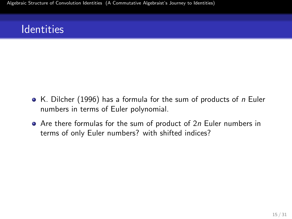- $\bullet$  K. Dilcher (1996) has a formula for the sum of products of n Euler numbers in terms of Euler polynomial.
- $\bullet$  Are there formulas for the sum of product of 2n Euler numbers in terms of only Euler numbers? with shifted indices?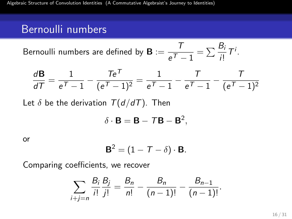## Bernoulli numbers

Bernoulli numbers are defined by **B** := 
$$
\frac{T}{e^T - 1} = \sum \frac{B_i}{i!} T^i
$$
.

$$
\frac{d\mathbf{B}}{dT} = \frac{1}{e^{\mathcal{T}} - 1} - \frac{T e^{\mathcal{T}}}{(e^{\mathcal{T}} - 1)^2} = \frac{1}{e^{\mathcal{T}} - 1} - \frac{T}{e^{\mathcal{T}} - 1} - \frac{T}{(e^{\mathcal{T}} - 1)^2}
$$

Let  $\delta$  be the derivation  $T(d/dT)$ . Then

$$
\delta \cdot \mathbf{B} = \mathbf{B} - T\mathbf{B} - \mathbf{B}^2,
$$

or

$$
\mathbf{B}^2 = (1 - \mathcal{T} - \delta) \cdot \mathbf{B}.
$$

Comparing coefficients, we recover

$$
\sum_{i+j=n} \frac{B_i}{i!} \frac{B_j}{j!} = \frac{B_n}{n!} - \frac{B_n}{(n-1)!} - \frac{B_{n-1}}{(n-1)!}.
$$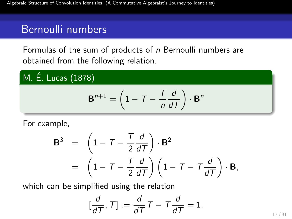# Bernoulli numbers

Formulas of the sum of products of n Bernoulli numbers are obtained from the following relation.

### M. É. Lucas (1878)

$$
\mathbf{B}^{n+1} = \left(1 - T - \frac{T}{n}\frac{d}{dT}\right) \cdot \mathbf{B}^n
$$

For example,

$$
\mathbf{B}^3 = \left(1 - T - \frac{T}{2} \frac{d}{dT}\right) \cdot \mathbf{B}^2
$$
  
=  $\left(1 - T - \frac{T}{2} \frac{d}{dT}\right) \left(1 - T - T \frac{d}{dT}\right) \cdot \mathbf{B},$ 

which can be simplified using the relation

$$
[\frac{d}{dT},\,T]:=\frac{d}{dT}\,T\,-\,T\frac{d}{dT}=1.
$$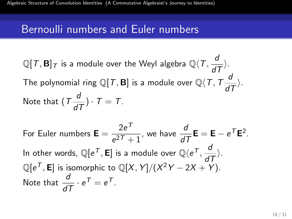### Bernoulli numbers and Euler numbers

$$
\mathbb{Q}[T, \mathbf{B}]_T \text{ is a module over the Weyl algebra } \mathbb{Q}\langle T, \frac{d}{dT}\rangle.
$$
  
The polynomial ring  $\mathbb{Q}[T, \mathbf{B}]$  is a module over  $\mathbb{Q}\langle T, T\frac{d}{dT}\rangle$ .  
Note that  $(T\frac{d}{dT}) \cdot T = T$ .

For Euler numbers  $\mathbf{E} = \frac{2e^{T}}{e^{2T}}$  $\frac{2e^{T}-1}{e^{2T}+1}$ , we have  $\frac{d}{dT}\mathbf{E} = \mathbf{E} - e^{T}\mathbf{E}^{2}$ . In other words,  $\mathbb{Q}[e^{\mathcal{T}}, \mathsf{E}]$  is a module over  $\mathbb{Q}\langle e^{\mathcal{T}}, \frac{d}{d\mathcal{T}}\rangle$ .  $\mathbb{Q}[e^\mathcal{T},\mathsf{E}]$  is isomorphic to  $\mathbb{Q}[X,Y]/(X^2Y-2X+Y).$ Note that  $\frac{d}{dT} \cdot e^{\mathcal{T}} = e^{\mathcal{T}}$ .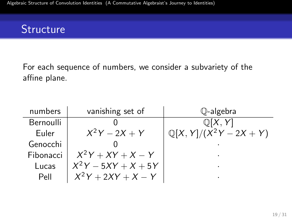For each sequence of numbers, we consider a subvariety of the affine plane.

| numbers   | vanishing set of      | Q-algebra                          |
|-----------|-----------------------|------------------------------------|
| Bernoulli |                       | $\mathbb{Q}[X, Y]$                 |
| Euler     | $X^2Y - 2X + Y$       | $\mathbb{Q}[X, Y]/(X^2Y - 2X + Y)$ |
| Genocchi  |                       |                                    |
| Fibonacci | $X^2Y + XY + X - Y$   |                                    |
| Lucas     | $X^2Y - 5XY + X + 5Y$ | ٠                                  |
| Pell      | $X^2Y + 2XY + X - Y$  |                                    |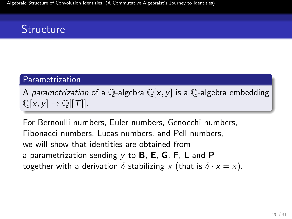#### Parametrization

A parametrization of a Q-algebra  $\mathbb{Q}[x, y]$  is a Q-algebra embedding  $\mathbb{Q}[x, y] \to \mathbb{Q}[[T]].$ 

For Bernoulli numbers, Euler numbers, Genocchi numbers, Fibonacci numbers, Lucas numbers, and Pell numbers, we will show that identities are obtained from a parametrization sending  $y$  to **B**, **E**, **G**, **F**, **L** and **P** together with a derivation  $\delta$  stabilizing x (that is  $\delta \cdot x = x$ ).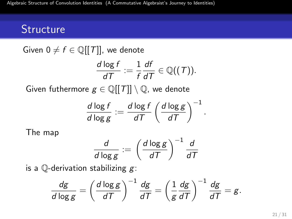Given  $0 \neq f \in \mathbb{Q}[[T]]$ , we denote

$$
\frac{d \log f}{dT} := \frac{1}{f} \frac{df}{dT} \in \mathbb{Q}((T)).
$$

Given futhermore  $g \in \mathbb{Q}[[T]] \setminus \mathbb{Q}$ , we denote

$$
\frac{d \log f}{d \log g} := \frac{d \log f}{d \mathcal{T}} \left( \frac{d \log g}{d \mathcal{T}} \right)^{-1}.
$$

The map

$$
\frac{d}{d\log g} := \left(\frac{d\log g}{dT}\right)^{-1} \frac{d}{dT}
$$

is a  $\mathbb Q$ -derivation stabilizing  $g$ :

$$
\frac{dg}{d \log g} = \left(\frac{d \log g}{dT}\right)^{-1} \frac{dg}{dT} = \left(\frac{1}{g} \frac{dg}{dT}\right)^{-1} \frac{dg}{dT} = g.
$$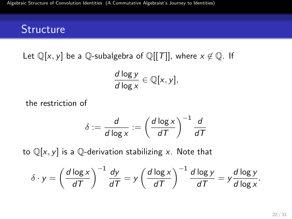Let  $\mathbb{Q}[x, y]$  be a  $\mathbb{Q}$ -subalgebra of  $\mathbb{Q}[[T]]$ , where  $x \notin \mathbb{Q}$ . If

$$
\frac{d \log y}{d \log x} \in \mathbb{Q}[x, y],
$$

the restriction of

$$
\delta := \frac{d}{d\log x} := \left(\frac{d\log x}{dT}\right)^{-1} \frac{d}{dT}
$$

to  $\mathbb{Q}[x, y]$  is a  $\mathbb{Q}$ -derivation stabilizing x. Note that

$$
\delta \cdot y = \left(\frac{d \log x}{dT}\right)^{-1} \frac{dy}{dT} = y \left(\frac{d \log x}{dT}\right)^{-1} \frac{d \log y}{dT} = y \frac{d \log y}{d \log x}.
$$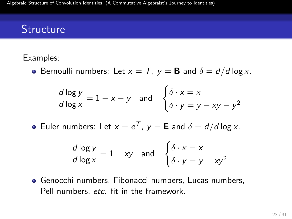#### Examples:

**•** Bernoulli numbers: Let  $x = T$ ,  $y = B$  and  $\delta = d/d \log x$ .

$$
\frac{d \log y}{d \log x} = 1 - x - y \quad \text{and} \quad \begin{cases} \delta \cdot x = x \\ \delta \cdot y = y - xy - y^2 \end{cases}
$$

Euler numbers: Let  $x = e^T$ ,  $y = \mathbf{E}$  and  $\delta = d/d \log x$ .

$$
\frac{d \log y}{d \log x} = 1 - xy \quad \text{and} \quad \begin{cases} \delta \cdot x = x \\ \delta \cdot y = y - xy^2 \end{cases}
$$

Genocchi numbers, Fibonacci numbers, Lucas numbers, Pell numbers, etc. fit in the framework.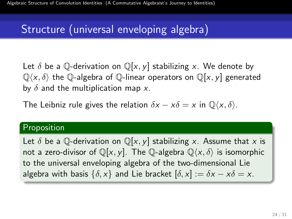# Structure (universal enveloping algebra)

Let  $\delta$  be a Q-derivation on  $\mathbb{Q}[x, y]$  stabilizing x. We denote by  $\mathbb{Q}\langle x,\delta\rangle$  the  $\mathbb{Q}$ -algebra of  $\mathbb{Q}$ -linear operators on  $\mathbb{Q}[x, y]$  generated by  $\delta$  and the multiplication map x.

The Leibniz rule gives the relation  $\delta x - x\delta = x$  in  $\mathbb{O}\langle x, \delta \rangle$ .

#### Proposition

Let  $\delta$  be a Q-derivation on  $\mathbb{Q}[x, y]$  stabilizing x. Assume that x is not a zero-divisor of  $\mathbb{Q}[x, y]$ . The  $\mathbb{Q}$ -algebra  $\mathbb{Q}\langle x, \delta \rangle$  is isomorphic to the universal enveloping algebra of the two-dimensional Lie algebra with basis  $\{\delta, x\}$  and Lie bracket  $[\delta, x] := \delta x - x\delta = x$ .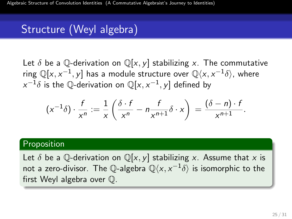# Structure (Weyl algebra)

Let  $\delta$  be a Q-derivation on  $\mathbb{Q}[x, y]$  stabilizing x. The commutative ring  $\mathbb{Q}[{\mathrm{\mathsf{x}}},{\mathrm{\mathsf{x}}}^{-1},{\mathrm{\mathsf{y}}}]$  has a module structure over  $\mathbb{Q}\langle {\mathrm{\mathsf{x}}},{\mathrm{\mathsf{x}}}^{-1}\delta\rangle$ , where  $\chi^{-1}\delta$  is the  $\mathbb Q$ -derivation on  $\mathbb Q[\mathsf x,\mathsf x^{-1},\mathsf y]$  defined by

$$
(x^{-1}\delta) \cdot \frac{f}{x^n} := \frac{1}{x} \left( \frac{\delta \cdot f}{x^n} - n \frac{f}{x^{n+1}} \delta \cdot x \right) = \frac{(\delta - n) \cdot f}{x^{n+1}}.
$$

#### Proposition

Let  $\delta$  be a Q-derivation on  $\mathbb{Q}[x, y]$  stabilizing x. Assume that x is not a zero-divisor. The Q-algebra  ${\mathbb Q}\langle x, x^{-1}\delta\rangle$  is isomorphic to the first Weyl algebra over Q.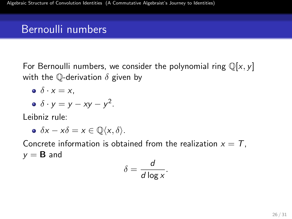# Bernoulli numbers

For Bernoulli numbers, we consider the polynomial ring  $\mathbb{Q}[x, y]$ with the Q-derivation  $\delta$  given by

$$
\bullet \ \delta \cdot x = x,
$$

$$
\bullet \ \delta \cdot y = y - xy - y^2.
$$

Leibniz rule:

$$
\bullet \ \delta x - x\delta = x \in \mathbb{Q}\langle x, \delta \rangle.
$$

Concrete information is obtained from the realization  $x = T$ ,  $y = B$  and

$$
\delta = \frac{d}{d\log x}.
$$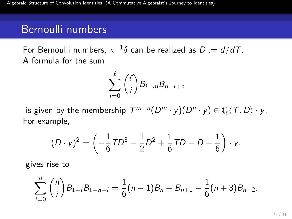## Bernoulli numbers

For Bernoulli numbers,  $x^{-1}\delta$  can be realized as  $D:=d/dT.$ A formula for the sum

$$
\sum_{i=0}^{\ell} {\ell \choose i} B_{i+m} B_{n-i+n}
$$

is given by the membership  $T^{m+n}(D^m\cdot y)(D^n\cdot y)\in \mathbb Q\langle T,D\rangle\cdot y.$ For example,

$$
(D \cdot y)^2 = \left(-\frac{1}{6}TD^3 - \frac{1}{2}D^2 + \frac{1}{6}TD - D - \frac{1}{6}\right) \cdot y.
$$

gives rise to

$$
\sum_{i=0}^n \binom{n}{i} B_{1+i} B_{1+n-i} = \frac{1}{6}(n-1)B_n - B_{n+1} - \frac{1}{6}(n+3)B_{n+2}.
$$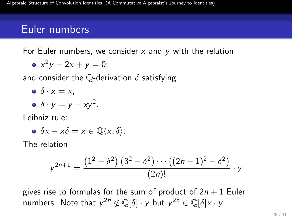For Euler numbers, we consider  $x$  and  $y$  with the relation

$$
\bullet \; x^2y-2x+y=0;
$$

and consider the  $\mathbb O$ -derivation  $\delta$  satisfying

$$
\bullet \ \delta \cdot x = x,
$$

$$
\bullet \ \delta \cdot y = y - xy^2.
$$

Leibniz rule:

$$
\bullet \ \delta x - x \delta = x \in \mathbb{Q}\langle x, \delta \rangle.
$$

The relation

$$
y^{2n+1} = \frac{(1^2 - \delta^2) (3^2 - \delta^2) \cdots ((2n-1)^2 - \delta^2)}{(2n)!} \cdot y
$$

gives rise to formulas for the sum of product of  $2n + 1$  Euler numbers. Note that  $y^{2n} \not\in \mathbb{Q}[\delta] \cdot y$  but  $y^{2n} \in \mathbb{Q}[\delta]x \cdot y$ .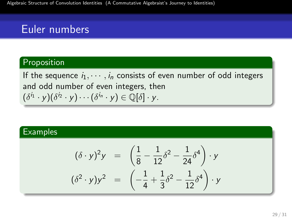#### Proposition

If the sequence  $i_1, \dots, i_n$  consists of even number of odd integers and odd number of even integers, then  $(\delta^{i_1}\cdot y)(\delta^{i_2}\cdot y)\cdots(\delta^{i_n}\cdot y)\in\mathbb Q[\delta]\cdot y.$ 

#### **Examples**

$$
(\delta \cdot y)^2 y = \left(\frac{1}{8} - \frac{1}{12}\delta^2 - \frac{1}{24}\delta^4\right) \cdot y
$$
  

$$
(\delta^2 \cdot y) y^2 = \left(-\frac{1}{4} + \frac{1}{3}\delta^2 - \frac{1}{12}\delta^4\right) \cdot y
$$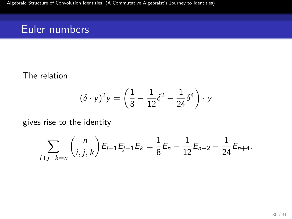#### The relation

$$
(\delta \cdot y)^2 y = \left(\frac{1}{8} - \frac{1}{12}\delta^2 - \frac{1}{24}\delta^4\right) \cdot y
$$

gives rise to the identity

$$
\sum_{i+j+k=n} {n \choose i,j,k} E_{i+1} E_{j+1} E_k = \frac{1}{8} E_n - \frac{1}{12} E_{n+2} - \frac{1}{24} E_{n+4}.
$$